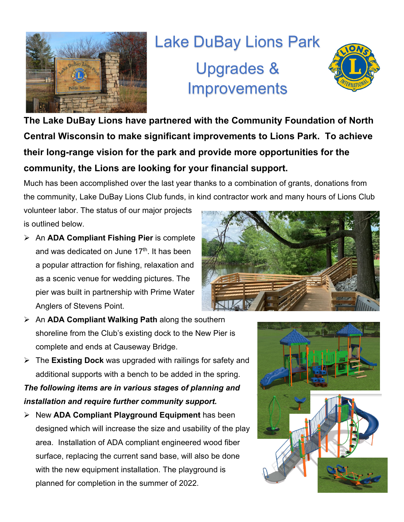

## Lake DuBay Lions Park Upgrades & **Improvements**



**The Lake DuBay Lions have partnered with the Community Foundation of North Central Wisconsin to make significant improvements to Lions Park. To achieve their long-range vision for the park and provide more opportunities for the community, the Lions are looking for your financial support.** 

Much has been accomplished over the last year thanks to a combination of grants, donations from the community, Lake DuBay Lions Club funds, in kind contractor work and many hours of Lions Club

volunteer labor. The status of our major projects is outlined below.

- An **ADA Compliant Fishing Pier** is complete and was dedicated on June 17<sup>th</sup>. It has been a popular attraction for fishing, relaxation and as a scenic venue for wedding pictures. The pier was built in partnership with Prime Water Anglers of Stevens Point.
- An **ADA Compliant Walking Path** along the southern shoreline from the Club's existing dock to the New Pier is complete and ends at Causeway Bridge.
- The **Existing Dock** was upgraded with railings for safety and additional supports with a bench to be added in the spring.

*The following items are in various stages of planning and installation and require further community support.*

 New **ADA Compliant Playground Equipment** has been designed which will increase the size and usability of the play area. Installation of ADA compliant engineered wood fiber surface, replacing the current sand base, will also be done with the new equipment installation. The playground is planned for completion in the summer of 2022.